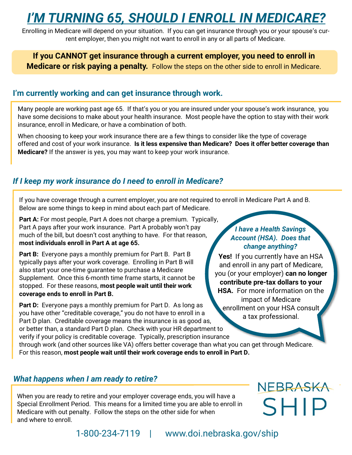## *I'M TURNING 65, SHOULD I ENROLL IN MEDICARE?*

Enrolling in Medicare will depend on your situation. If you can get insurance through you or your spouse's current employer, then you might not want to enroll in any or all parts of Medicare.

### **If you CANNOT get insurance through a current employer, you need to enroll in Medicare or risk paying a penalty.** Follow the steps on the other side to enroll in Medicare.

### **I'm currently working and can get insurance through work.**

Many people are working past age 65. If that's you or you are insured under your spouse's work insurance, you have some decisions to make about your health insurance. Most people have the option to stay with their work insurance, enroll in Medicare, or have a combination of both.

When choosing to keep your work insurance there are a few things to consider like the type of coverage offered and cost of your work insurance. **Is it less expensive than Medicare? Does it offer better coverage than Medicare?** If the answer is yes, you may want to keep your work insurance.

### *If I keep my work insurance do I need to enroll in Medicare?*

If you have coverage through a current employer, you are not required to enroll in Medicare Part A and B. Below are some things to keep in mind about each part of Medicare.

**Part A:** For most people, Part A does not charge a premium. Typically, Part A pays after your work insurance. Part A probably won't pay much of the bill, but doesn't cost anything to have. For that reason, **most individuals enroll in Part A at age 65.** 

**Part B:** Everyone pays a monthly premium for Part B. Part B. typically pays after your work coverage. Enrolling in Part B will also start your one-time guarantee to purchase a Medicare Supplement. Once this 6-month time frame starts, it cannot be stopped. For these reasons, **most people wait until their work coverage ends to enroll in Part B.** 

**Part D:** Everyone pays a monthly premium for Part D. As long as you have other "creditable coverage," you do not have to enroll in a Part D plan. Creditable coverage means the insurance is as good as, or better than, a standard Part D plan. Check with your HR department to verify if your policy is creditable coverage. Typically, prescription insurance

through work (and other sources like VA) offers better coverage than what you can get through Medicare. For this reason, **most people wait until their work coverage ends to enroll in Part D.** 

### *What happens when I am ready to retire?*

When you are ready to retire and your employer coverage ends, you will have a Special Enrollment Period. This means for a limited time you are able to enroll in Medicare with out penalty. Follow the steps on the other side for when and where to enroll.

### *I have a Health Savings Account (HSA). Does that change anything?*

**Yes!** If you currently have an HSA and enroll in any part of Medicare, you (or your employer) **can no longer contribute pre-tax dollars to your HSA.** For more information on the impact of Medicare enrollment on your HSA consult a tax professional.

# NEBRASKA **SHIP**

1-800-234-7119 | www.doi.nebraska.gov/ship